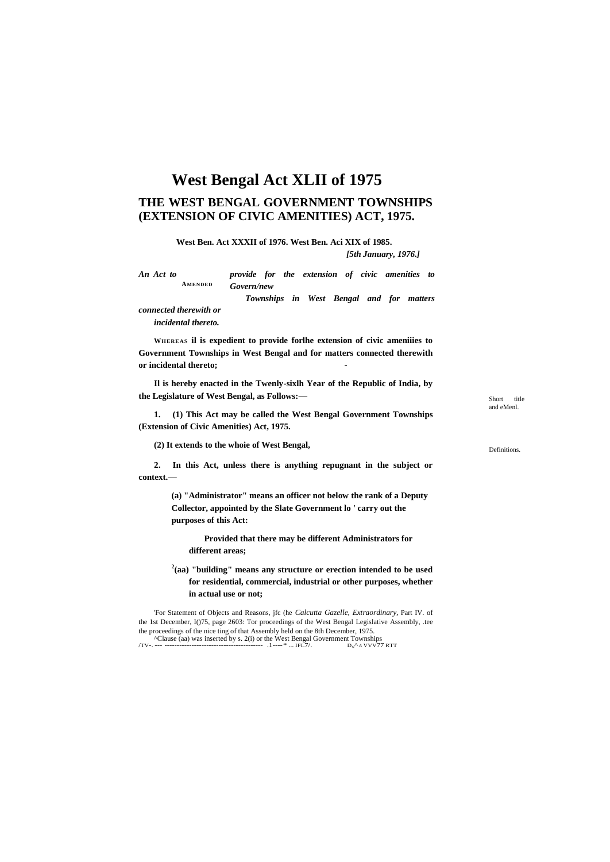# **West Bengal Act XLII of 1975**

# **THE WEST BENGAL GOVERNMENT TOWNSHIPS (EXTENSION OF CIVIC AMENITIES) ACT, 1975.**

**West Ben. Act XXXII of 1976. West Ben. Aci XIX of 1985.**

*[5th January, 1976.]*

**AMENDED** *An Act to provide for the extension of civic amenities to Govern/new*

*Townships in West Bengal and for matters* 

*connected therewith or*

*incidental thereto.*

**WHEREAS il is expedient to provide forlhe extension of civic ameniiies to Government Townships in West Bengal and for matters connected therewith or incidental thereto; -**

**Il is hereby enacted in the Twenly-sixlh Year of the Republic of India, by the Legislature of West Bengal, as Follows:—**

**1. (1) This Act may be called the West Bengal Government Townships (Extension of Civic Amenities) Act, 1975.**

**(2) It extends to the whoie of West Bengal,**

**2. In this Act, unless there is anything repugnant in the subject or context.—**

> **(a) "Administrator" means an officer not below the rank of a Deputy Collector, appointed by the Slate Government lo ' carry out the purposes of this Act:**

**Provided that there may be different Administrators for different areas;**

**2 (aa) "building" means any structure or erection intended to be used for residential, commercial, industrial or other purposes, whether in actual use or not;**

'For Statement of Objects and Reasons, jfc (he *Calcutta Gazelle, Extraordinary,* Part IV. of the 1st December, I()75, page 2603: Tor proceedings of the West Bengal Legislative Assembly, .tee the proceedings of the nice ting of that Assembly held on the 8th December, 1975. ^Clause (aa) was inserted by s. 2(i) or the West Bengal Government Townships /TV-. --- ---------------------------------------- .1----\* ... IFL7/. DN^ *<sup>A</sup>* VVV77 RTT

Short title and eMenl.

Definitions.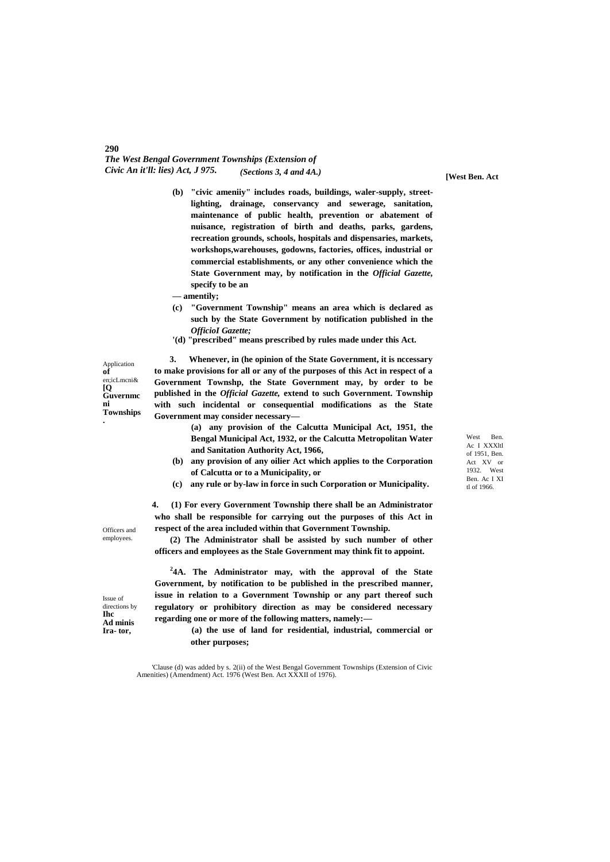#### *The West Bengal Government Townships (Extension of Civic An it'll: lies) Act, J 975.* **[West Ben. Act** *(Sections 3, 4 and 4A.)*

- **(b) "civic ameniiy" includes roads, buildings, waler-supply, streetlighting, drainage, conservancy and sewerage, sanitation, maintenance of public health, prevention or abatement of nuisance, registration of birth and deaths, parks, gardens, recreation grounds, schools, hospitals and dispensaries, markets, workshops,warehouses, godowns, factories, offices, industrial or commercial establishments, or any other convenience which the State Government may, by notification in the** *Official Gazette,* **specify to be an**
- **— amentily;**
- **(c) "Government Township" means an area which is declared as such by the State Government by notification published in the** *OfficioI Gazette;*
- **'(d) "prescribed" means prescribed by rules made under this Act.**

Application **of** en;icLmcni& **[Q Guvernmc ni Townships .**

**290**

**3. Whenever, in (he opinion of the State Government, it is nccessary to make provisions for all or any of the purposes of this Act in respect of a Government Townshp, the State Government may, by order to be published in the** *Official Gazette,* **extend to such Government. Township with such incidental or consequential modifications as the State Government may consider necessary—**

> **(a) any provision of the Calcutta Municipal Act, 1951, the Bengal Municipal Act, 1932, or the Calcutta Metropolitan Water and Sanitation Authority Act, 1966,**

- **(b) any provision of any oilier Act which applies to the Corporation of Calcutta or to a Municipality, or**
- **(c) any rule or by-law in force in such Corporation or Municipality.**

**4. (1) For every Government Township there shall be an Administrator who shall be responsible for carrying out the purposes of this Act in respect of the area included within that Government Township.**

**(2) The Administrator shall be assisted by such number of other officers and employees as the Stale Government may think fit to appoint.**

**2 4A. The Administrator may, with the approval of the State Government, by notification to be published in the prescribed manner, issue in relation to a Government Township or any part thereof such regulatory or prohibitory direction as may be considered necessary regarding one or more of the following matters, namely:—**

> **(a) the use of land for residential, industrial, commercial or other purposes;**

'Clause (d) was added by s. 2(ii) of the West Bengal Government Townships (Extension of Civic Amenities) (Amendment) Act. 1976 (West Ben. Act XXXII of 1976).

West Ben. Ac I XXXltl of 1951, Ben. Act XV or 1932. West Ben. Ac I XI tl of 1966.

Officers and employees.

Issue of directions by **Ihc Ad minis Ira- tor,**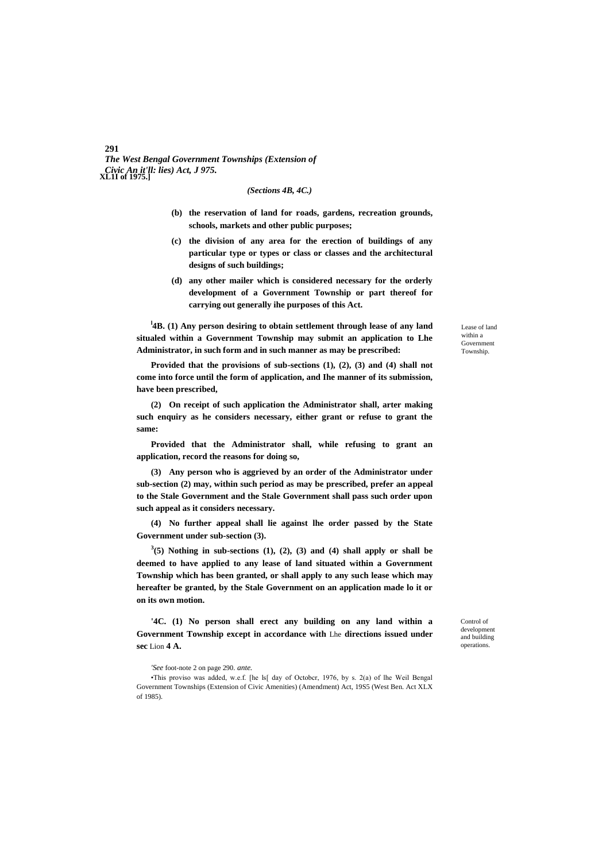*The West Bengal Government Townships (Extension of Civic An it'll: lies) Act, J 975.* **XL1I of 1975.]**

## *(Sections 4B, 4C.)*

- **(b) the reservation of land for roads, gardens, recreation grounds, schools, markets and other public purposes;**
- **(c) the division of any area for the erection of buildings of any particular type or types or class or classes and the architectural designs of such buildings;**
- **(d) any other mailer which is considered necessary for the orderly development of a Government Township or part thereof for carrying out generally ihe purposes of this Act.**

<sup>1</sup>**4B.** (1) Any person desiring to obtain settlement through lease of any land **situaled within a Government Township may submit an application to Lhe Administrator, in such form and in such manner as may be prescribed:**

**Provided that the provisions of sub-sections (1), (2), (3) and (4) shall not come into force until the form of application, and Ihe manner of its submission, have been prescribed,**

**(2) On receipt of such application the Administrator shall, arter making such enquiry as he considers necessary, either grant or refuse to grant the same:**

**Provided that the Administrator shall, while refusing to grant an application, record the reasons for doing so,**

**(3) Any person who is aggrieved by an order of the Administrator under sub-section (2) may, within such period as may be prescribed, prefer an appeal to the Stale Government and the Stale Government shall pass such order upon such appeal as it considers necessary.**

**(4) No further appeal shall lie against lhe order passed by the State Government under sub-section (3).**

 $3(5)$  Nothing in sub-sections  $(1)$ ,  $(2)$ ,  $(3)$  and  $(4)$  shall apply or shall be **deemed to have applied to any lease of land situated within a Government Township which has been granted, or shall apply to any such lease which may hereafter be granted, by the Stale Government on an application made lo it or on its own motion.**

**'4C. (1) No person shall erect any building on any land within a Government Township except in accordance with** Lhe **directions issued under sec** Lion **4 A.**

*'See* foot-note 2 on page 290. *ante.*

•This proviso was added, w.e.f. [he ls[ day of Octobcr, 1976, by s. 2(a) of lhe Weil Bengal Government Townships (Extension of Civic Amenities) (Amendment) Act, 19S5 (West Ben. Act XLX of 1985).

Lease of land within a Government Township.

Control of development and building operations.

#### **291**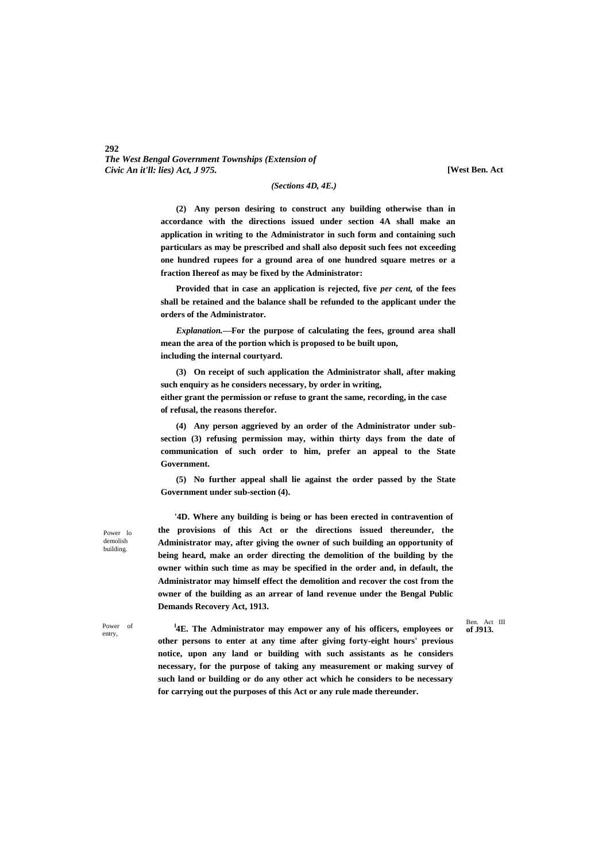# *The West Bengal Government Townships (Extension of Civic An it'll: lies) Act, J 975.*

**[West Ben. Act**

#### *(Sections 4D, 4E.)*

**(2) Any person desiring to construct any building otherwise than in accordance with the directions issued under section 4A shall make an application in writing to the Administrator in such form and containing such particulars as may be prescribed and shall also deposit such fees not exceeding one hundred rupees for a ground area of one hundred square metres or a fraction Ihereof as may be fixed by the Administrator:**

**Provided that in case an application is rejected, five** *per cent,* **of the fees shall be retained and the balance shall be refunded to the applicant under the orders of the Administrator.**

*Explanation.***—For the purpose of calculating the fees, ground area shall mean the area of the portion which is proposed to be built upon, including the internal courtyard.**

**(3) On receipt of such application the Administrator shall, after making such enquiry as he considers necessary, by order in writing, either grant the permission or refuse to grant the same, recording, in the case of refusal, the reasons therefor.**

**(4) Any person aggrieved by an order of the Administrator under subsection (3) refusing permission may, within thirty days from the date of communication of such order to him, prefer an appeal to the State Government.**

**(5) No further appeal shall lie against the order passed by the State Government under sub-section (4).**

Power lo demolish building.

entry

**292**

**'4D. Where any building is being or has been erected in contravention of the provisions of this Act or the directions issued thereunder, the Administrator may, after giving the owner of such building an opportunity of being heard, make an order directing the demolition of the building by the owner within such time as may be specified in the order and, in default, the Administrator may himself effect the demolition and recover the cost from the owner of the building as an arrear of land revenue under the Bengal Public Demands Recovery Act, 1913.**

Ben. Act III<br>of J913.

Power of **lateral and laterates later later later later later later later later later later later later later later later later later later later later later later later late other persons to enter at any time after giving forty-eight hours' previous notice, upon any land or building with such assistants as he considers necessary, for the purpose of taking any measurement or making survey of such land or building or do any other act which he considers to be necessary for carrying out the purposes of this Act or any rule made thereunder.**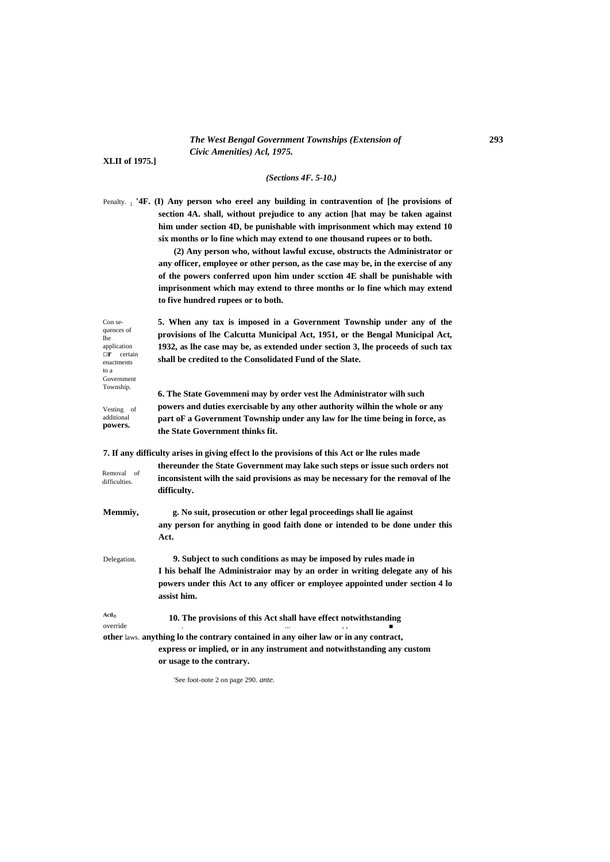## *The West Bengal Government Townships (Extension of* **293** *Civic Amenities) Acl, 1975.*

**XLII of 1975.]**

### *(Sections 4F. 5-10.)*

Penalty. **; '4F. (I) Any person who ereel any building in contravention of [he provisions of section 4A. shall, without prejudice to any action [hat may be taken against him under section 4D, be punishable with imprisonment which may extend 10 six months or lo fine which may extend to one thousand rupees or to both.**

> **(2) Any person who, without lawful excuse, obstructs the Administrator or any officer, employee or other person, as the case may be, in the exercise of any of the powers conferred upon him under scction 4E shall be punishable with imprisonment which may extend to three months or lo fine which may extend to five hundred rupees or to both.**

Con sequences of lhe application **□r** certain enactments to a Government Township.

Vesting of additional **powers.**

**5. When any tax is imposed in a Government Township under any of the provisions of lhe Calcutta Municipal Act, 1951, or the Bengal Municipal Act, 1932, as lhe case may be, as extended under section 3, lhe proceeds of such tax shall be credited to the Consolidated Fund of the Slate.**

**6. The State Govemmeni may by order vest lhe Administrator wilh such powers and duties exercisable by any other authority wilhin the whole or any part oF a Government Township under any law for lhe time being in force, as the State Government thinks fit.**

**7. If any difficulty arises in giving effect lo the provisions of this Act or lhe rules made** 

| Removal of<br>difficulties.   | thereunder the State Government may lake such steps or issue such orders not<br>inconsistent wilh the said provisions as may be necessary for the removal of lhe<br>difficulty. |
|-------------------------------|---------------------------------------------------------------------------------------------------------------------------------------------------------------------------------|
| Memmiy,                       | g. No suit, prosecution or other legal proceedings shall lie against<br>any person for anything in good faith done or intended to be done under this                            |
|                               | Act.                                                                                                                                                                            |
| Delegation.                   | 9. Subject to such conditions as may be imposed by rules made in                                                                                                                |
|                               | I his behalf lhe Administrator may by an order in writing delegate any of his                                                                                                   |
|                               | powers under this Act to any officer or employee appointed under section 4 lo<br>assist him.                                                                                    |
| Actl <sub>o</sub><br>override | 10. The provisions of this Act shall have effect notwithstanding                                                                                                                |
|                               | other laws. anything lo the contrary contained in any oiher law or in any contract,                                                                                             |
|                               | express or implied, or in any instrument and notwithstanding any custom                                                                                                         |
|                               | or usage to the contrary.                                                                                                                                                       |

'See foot-note 2 on page 290. *ante.*